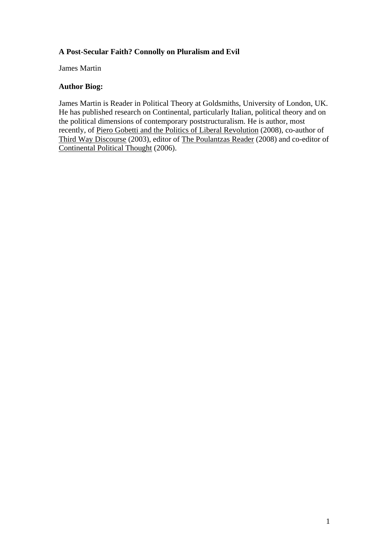# **A Post-Secular Faith? Connolly on Pluralism and Evil**

James Martin

# **Author Biog:**

James Martin is Reader in Political Theory at Goldsmiths, University of London, UK. He has published research on Continental, particularly Italian, political theory and on the political dimensions of contemporary poststructuralism. He is author, most recently, of Piero Gobetti and the Politics of Liberal Revolution (2008), co-author of Third Way Discourse (2003), editor of The Poulantzas Reader (2008) and co-editor of Continental Political Thought (2006).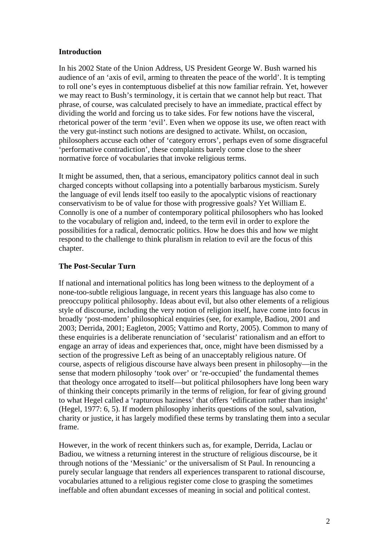### **Introduction**

In his 2002 State of the Union Address, US President George W. Bush warned his audience of an 'axis of evil, arming to threaten the peace of the world'. It is tempting to roll one's eyes in contemptuous disbelief at this now familiar refrain. Yet, however we may react to Bush's terminology, it is certain that we cannot help but react. That phrase, of course, was calculated precisely to have an immediate, practical effect by dividing the world and forcing us to take sides. For few notions have the visceral, rhetorical power of the term 'evil'. Even when we oppose its use, we often react with the very gut-instinct such notions are designed to activate. Whilst, on occasion, philosophers accuse each other of 'category errors', perhaps even of some disgraceful 'performative contradiction', these complaints barely come close to the sheer normative force of vocabularies that invoke religious terms.

It might be assumed, then, that a serious, emancipatory politics cannot deal in such charged concepts without collapsing into a potentially barbarous mysticism. Surely the language of evil lends itself too easily to the apocalyptic visions of reactionary conservativism to be of value for those with progressive goals? Yet William E. Connolly is one of a number of contemporary political philosophers who has looked to the vocabulary of religion and, indeed, to the term evil in order to explore the possibilities for a radical, democratic politics. How he does this and how we might respond to the challenge to think pluralism in relation to evil are the focus of this chapter.

### **The Post-Secular Turn**

If national and international politics has long been witness to the deployment of a none-too-subtle religious language, in recent years this language has also come to preoccupy political philosophy. Ideas about evil, but also other elements of a religious style of discourse, including the very notion of religion itself, have come into focus in broadly 'post-modern' philosophical enquiries (see, for example, Badiou, 2001 and 2003; Derrida, 2001; Eagleton, 2005; Vattimo and Rorty, 2005). Common to many of these enquiries is a deliberate renunciation of 'secularist' rationalism and an effort to engage an array of ideas and experiences that, once, might have been dismissed by a section of the progressive Left as being of an unacceptably religious nature. Of course, aspects of religious discourse have always been present in philosophy—in the sense that modern philosophy 'took over' or 're-occupied' the fundamental themes that theology once arrogated to itself—but political philosophers have long been wary of thinking their concepts primarily in the terms of religion, for fear of giving ground to what Hegel called a 'rapturous haziness' that offers 'edification rather than insight' (Hegel, 1977: 6, 5). If modern philosophy inherits questions of the soul, salvation, charity or justice, it has largely modified these terms by translating them into a secular frame.

However, in the work of recent thinkers such as, for example, Derrida, Laclau or Badiou, we witness a returning interest in the structure of religious discourse, be it through notions of the 'Messianic' or the universalism of St Paul. In renouncing a purely secular language that renders all experiences transparent to rational discourse, vocabularies attuned to a religious register come close to grasping the sometimes ineffable and often abundant excesses of meaning in social and political contest.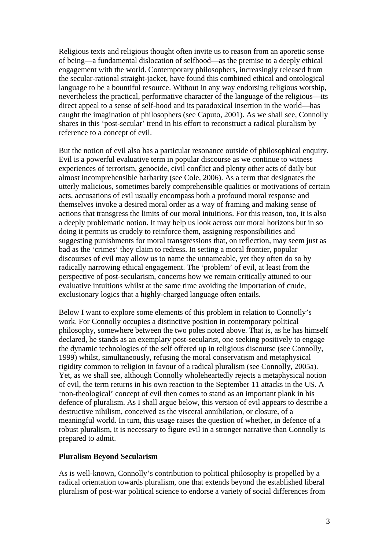Religious texts and religious thought often invite us to reason from an aporetic sense of being—a fundamental dislocation of selfhood—as the premise to a deeply ethical engagement with the world. Contemporary philosophers, increasingly released from the secular-rational straight-jacket, have found this combined ethical and ontological language to be a bountiful resource. Without in any way endorsing religious worship, nevertheless the practical, performative character of the language of the religious—its direct appeal to a sense of self-hood and its paradoxical insertion in the world—has caught the imagination of philosophers (see Caputo, 2001). As we shall see, Connolly shares in this 'post-secular' trend in his effort to reconstruct a radical pluralism by reference to a concept of evil.

But the notion of evil also has a particular resonance outside of philosophical enquiry. Evil is a powerful evaluative term in popular discourse as we continue to witness experiences of terrorism, genocide, civil conflict and plenty other acts of daily but almost incomprehensible barbarity (see Cole, 2006). As a term that designates the utterly malicious, sometimes barely comprehensible qualities or motivations of certain acts, accusations of evil usually encompass both a profound moral response and themselves invoke a desired moral order as a way of framing and making sense of actions that transgress the limits of our moral intuitions. For this reason, too, it is also a deeply problematic notion. It may help us look across our moral horizons but in so doing it permits us crudely to reinforce them, assigning responsibilities and suggesting punishments for moral transgressions that, on reflection, may seem just as bad as the 'crimes' they claim to redress. In setting a moral frontier, popular discourses of evil may allow us to name the unnameable, yet they often do so by radically narrowing ethical engagement. The 'problem' of evil, at least from the perspective of post-secularism, concerns how we remain critically attuned to our evaluative intuitions whilst at the same time avoiding the importation of crude, exclusionary logics that a highly-charged language often entails.

Below I want to explore some elements of this problem in relation to Connolly's work. For Connolly occupies a distinctive position in contemporary political philosophy, somewhere between the two poles noted above. That is, as he has himself declared, he stands as an exemplary post-secularist, one seeking positively to engage the dynamic technologies of the self offered up in religious discourse (see Connolly, 1999) whilst, simultaneously, refusing the moral conservatism and metaphysical rigidity common to religion in favour of a radical pluralism (see Connolly, 2005a). Yet, as we shall see, although Connolly wholeheartedly rejects a metaphysical notion of evil, the term returns in his own reaction to the September 11 attacks in the US. A 'non-theological' concept of evil then comes to stand as an important plank in his defence of pluralism. As I shall argue below, this version of evil appears to describe a destructive nihilism, conceived as the visceral annihilation, or closure, of a meaningful world. In turn, this usage raises the question of whether, in defence of a robust pluralism, it is necessary to figure evil in a stronger narrative than Connolly is prepared to admit.

#### **Pluralism Beyond Secularism**

As is well-known, Connolly's contribution to political philosophy is propelled by a radical orientation towards pluralism, one that extends beyond the established liberal pluralism of post-war political science to endorse a variety of social differences from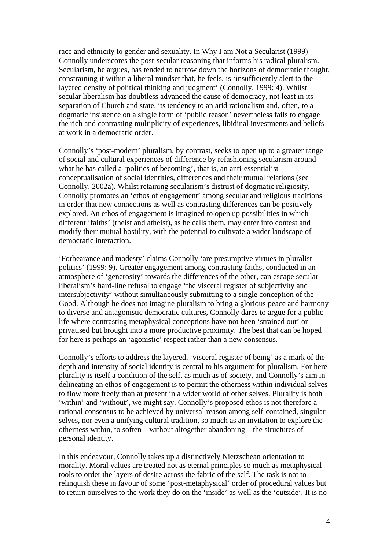race and ethnicity to gender and sexuality. In Why I am Not a Secularist (1999) Connolly underscores the post-secular reasoning that informs his radical pluralism. Secularism, he argues, has tended to narrow down the horizons of democratic thought, constraining it within a liberal mindset that, he feels, is 'insufficiently alert to the layered density of political thinking and judgment' (Connolly, 1999: 4). Whilst secular liberalism has doubtless advanced the cause of democracy, not least in its separation of Church and state, its tendency to an arid rationalism and, often, to a dogmatic insistence on a single form of 'public reason' nevertheless fails to engage the rich and contrasting multiplicity of experiences, libidinal investments and beliefs at work in a democratic order.

Connolly's 'post-modern' pluralism, by contrast, seeks to open up to a greater range of social and cultural experiences of difference by refashioning secularism around what he has called a 'politics of becoming', that is, an anti-essentialist conceptualisation of social identities, differences and their mutual relations (see Connolly, 2002a). Whilst retaining secularism's distrust of dogmatic religiosity, Connolly promotes an 'ethos of engagement' among secular and religious traditions in order that new connections as well as contrasting differences can be positively explored. An ethos of engagement is imagined to open up possibilities in which different 'faiths' (theist and atheist), as he calls them, may enter into contest and modify their mutual hostility, with the potential to cultivate a wider landscape of democratic interaction.

'Forbearance and modesty' claims Connolly 'are presumptive virtues in pluralist politics' (1999: 9). Greater engagement among contrasting faiths, conducted in an atmosphere of 'generosity' towards the differences of the other, can escape secular liberalism's hard-line refusal to engage 'the visceral register of subjectivity and intersubjectivity' without simultaneously submitting to a single conception of the Good. Although he does not imagine pluralism to bring a glorious peace and harmony to diverse and antagonistic democratic cultures, Connolly dares to argue for a public life where contrasting metaphysical conceptions have not been 'strained out' or privatised but brought into a more productive proximity. The best that can be hoped for here is perhaps an 'agonistic' respect rather than a new consensus.

Connolly's efforts to address the layered, 'visceral register of being' as a mark of the depth and intensity of social identity is central to his argument for pluralism. For here plurality is itself a condition of the self, as much as of society, and Connolly's aim in delineating an ethos of engagement is to permit the otherness within individual selves to flow more freely than at present in a wider world of other selves. Plurality is both 'within' and 'without', we might say. Connolly's proposed ethos is not therefore a rational consensus to be achieved by universal reason among self-contained, singular selves, nor even a unifying cultural tradition, so much as an invitation to explore the otherness within, to soften—without altogether abandoning—the structures of personal identity.

In this endeavour, Connolly takes up a distinctively Nietzschean orientation to morality. Moral values are treated not as eternal principles so much as metaphysical tools to order the layers of desire across the fabric of the self. The task is not to relinquish these in favour of some 'post-metaphysical' order of procedural values but to return ourselves to the work they do on the 'inside' as well as the 'outside'. It is no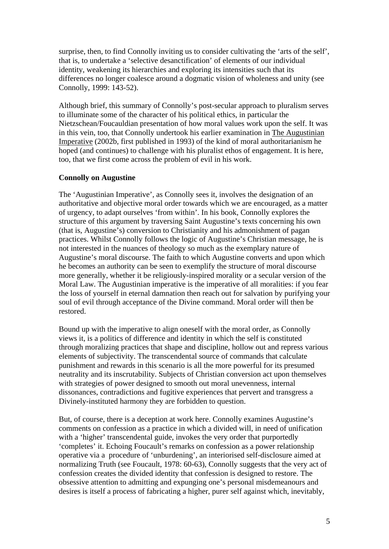surprise, then, to find Connolly inviting us to consider cultivating the 'arts of the self', that is, to undertake a 'selective desanctification' of elements of our individual identity, weakening its hierarchies and exploring its intensities such that its differences no longer coalesce around a dogmatic vision of wholeness and unity (see Connolly, 1999: 143-52).

Although brief, this summary of Connolly's post-secular approach to pluralism serves to illuminate some of the character of his political ethics, in particular the Nietzschean/Foucauldian presentation of how moral values work upon the self. It was in this vein, too, that Connolly undertook his earlier examination in The Augustinian Imperative (2002b, first published in 1993) of the kind of moral authoritarianism he hoped (and continues) to challenge with his pluralist ethos of engagement. It is here, too, that we first come across the problem of evil in his work.

#### **Connolly on Augustine**

The 'Augustinian Imperative', as Connolly sees it, involves the designation of an authoritative and objective moral order towards which we are encouraged, as a matter of urgency, to adapt ourselves 'from within'. In his book, Connolly explores the structure of this argument by traversing Saint Augustine's texts concerning his own (that is, Augustine's) conversion to Christianity and his admonishment of pagan practices. Whilst Connolly follows the logic of Augustine's Christian message, he is not interested in the nuances of theology so much as the exemplary nature of Augustine's moral discourse. The faith to which Augustine converts and upon which he becomes an authority can be seen to exemplify the structure of moral discourse more generally, whether it be religiously-inspired morality or a secular version of the Moral Law. The Augustinian imperative is the imperative of all moralities: if you fear the loss of yourself in eternal damnation then reach out for salvation by purifying your soul of evil through acceptance of the Divine command. Moral order will then be restored.

Bound up with the imperative to align oneself with the moral order, as Connolly views it, is a politics of difference and identity in which the self is constituted through moralizing practices that shape and discipline, hollow out and repress various elements of subjectivity. The transcendental source of commands that calculate punishment and rewards in this scenario is all the more powerful for its presumed neutrality and its inscrutability. Subjects of Christian conversion act upon themselves with strategies of power designed to smooth out moral unevenness, internal dissonances, contradictions and fugitive experiences that pervert and transgress a Divinely-instituted harmony they are forbidden to question.

But, of course, there is a deception at work here. Connolly examines Augustine's comments on confession as a practice in which a divided will, in need of unification with a 'higher' transcendental guide, invokes the very order that purportedly 'completes' it. Echoing Foucault's remarks on confession as a power relationship operative via a procedure of 'unburdening', an interiorised self-disclosure aimed at normalizing Truth (see Foucault, 1978: 60-63), Connolly suggests that the very act of confession creates the divided identity that confession is designed to restore. The obsessive attention to admitting and expunging one's personal misdemeanours and desires is itself a process of fabricating a higher, purer self against which, inevitably,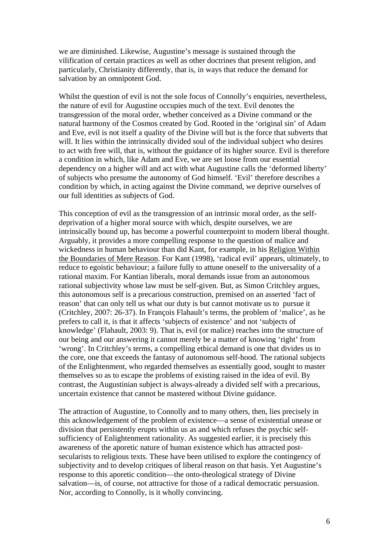we are diminished. Likewise, Augustine's message is sustained through the vilification of certain practices as well as other doctrines that present religion, and particularly, Christianity differently, that is, in ways that reduce the demand for salvation by an omnipotent God.

Whilst the question of evil is not the sole focus of Connolly's enquiries, nevertheless, the nature of evil for Augustine occupies much of the text. Evil denotes the transgression of the moral order, whether conceived as a Divine command or the natural harmony of the Cosmos created by God. Rooted in the 'original sin' of Adam and Eve, evil is not itself a quality of the Divine will but is the force that subverts that will. It lies within the intrinsically divided soul of the individual subject who desires to act with free will, that is, without the guidance of its higher source. Evil is therefore a condition in which, like Adam and Eve, we are set loose from our essential dependency on a higher will and act with what Augustine calls the 'deformed liberty' of subjects who presume the autonomy of God himself. 'Evil' therefore describes a condition by which, in acting against the Divine command, we deprive ourselves of our full identities as subjects of God.

This conception of evil as the transgression of an intrinsic moral order, as the selfdeprivation of a higher moral source with which, despite ourselves, we are intrinsically bound up, has become a powerful counterpoint to modern liberal thought. Arguably, it provides a more compelling response to the question of malice and wickedness in human behaviour than did Kant, for example, in his Religion Within the Boundaries of Mere Reason. For Kant (1998), 'radical evil' appears, ultimately, to reduce to egoistic behaviour; a failure fully to attune oneself to the universality of a rational maxim. For Kantian liberals, moral demands issue from an autonomous rational subjectivity whose law must be self-given. But, as Simon Critchley argues, this autonomous self is a precarious construction, premised on an asserted 'fact of reason' that can only tell us what our duty is but cannot motivate us to pursue it (Critchley, 2007: 26-37). In François Flahault's terms, the problem of 'malice', as he prefers to call it, is that it affects 'subjects of existence' and not 'subjects of knowledge' (Flahault, 2003: 9). That is, evil (or malice) reaches into the structure of our being and our answering it cannot merely be a matter of knowing 'right' from 'wrong'. In Critchley's terms, a compelling ethical demand is one that divides us to the core, one that exceeds the fantasy of autonomous self-hood. The rational subjects of the Enlightenment, who regarded themselves as essentially good, sought to master themselves so as to escape the problems of existing raised in the idea of evil. By contrast, the Augustinian subject is always-already a divided self with a precarious, uncertain existence that cannot be mastered without Divine guidance.

The attraction of Augustine, to Connolly and to many others, then, lies precisely in this acknowledgement of the problem of existence—a sense of existential unease or division that persistently erupts within us as and which refuses the psychic selfsufficiency of Enlightenment rationality. As suggested earlier, it is precisely this awareness of the aporetic nature of human existence which has attracted postsecularists to religious texts. These have been utilised to explore the contingency of subjectivity and to develop critiques of liberal reason on that basis. Yet Augustine's response to this aporetic condition—the onto-theological strategy of Divine salvation—is, of course, not attractive for those of a radical democratic persuasion. Nor, according to Connolly, is it wholly convincing.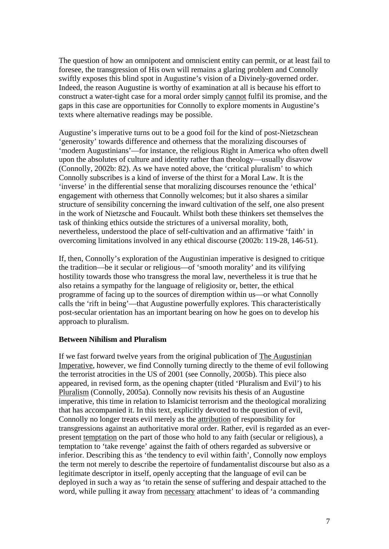The question of how an omnipotent and omniscient entity can permit, or at least fail to foresee, the transgression of His own will remains a glaring problem and Connolly swiftly exposes this blind spot in Augustine's vision of a Divinely-governed order. Indeed, the reason Augustine is worthy of examination at all is because his effort to construct a water-tight case for a moral order simply cannot fulfil its promise, and the gaps in this case are opportunities for Connolly to explore moments in Augustine's texts where alternative readings may be possible.

Augustine's imperative turns out to be a good foil for the kind of post-Nietzschean 'generosity' towards difference and otherness that the moralizing discourses of 'modern Augustinians'—for instance, the religious Right in America who often dwell upon the absolutes of culture and identity rather than theology—usually disavow (Connolly, 2002b: 82). As we have noted above, the 'critical pluralism' to which Connolly subscribes is a kind of inverse of the thirst for a Moral Law. It is the 'inverse' in the differential sense that moralizing discourses renounce the 'ethical' engagement with otherness that Connolly welcomes; but it also shares a similar structure of sensibility concerning the inward cultivation of the self, one also present in the work of Nietzsche and Foucault. Whilst both these thinkers set themselves the task of thinking ethics outside the strictures of a universal morality, both, nevertheless, understood the place of self-cultivation and an affirmative 'faith' in overcoming limitations involved in any ethical discourse (2002b: 119-28, 146-51).

If, then, Connolly's exploration of the Augustinian imperative is designed to critique the tradition—be it secular or religious—of 'smooth morality' and its vilifying hostility towards those who transgress the moral law, nevertheless it is true that he also retains a sympathy for the language of religiosity or, better, the ethical programme of facing up to the sources of diremption within us—or what Connolly calls the 'rift in being'—that Augustine powerfully explores. This characteristically post-secular orientation has an important bearing on how he goes on to develop his approach to pluralism.

### **Between Nihilism and Pluralism**

If we fast forward twelve years from the original publication of The Augustinian Imperative, however, we find Connolly turning directly to the theme of evil following the terrorist atrocities in the US of 2001 (see Connolly, 2005b). This piece also appeared, in revised form, as the opening chapter (titled 'Pluralism and Evil') to his Pluralism (Connolly, 2005a). Connolly now revisits his thesis of an Augustine imperative, this time in relation to Islamicist terrorism and the theological moralizing that has accompanied it. In this text, explicitly devoted to the question of evil, Connolly no longer treats evil merely as the attribution of responsibility for transgressions against an authoritative moral order. Rather, evil is regarded as an everpresent temptation on the part of those who hold to any faith (secular or religious), a temptation to 'take revenge' against the faith of others regarded as subversive or inferior. Describing this as 'the tendency to evil within faith', Connolly now employs the term not merely to describe the repertoire of fundamentalist discourse but also as a legitimate descriptor in itself, openly accepting that the language of evil can be deployed in such a way as 'to retain the sense of suffering and despair attached to the word, while pulling it away from necessary attachment' to ideas of 'a commanding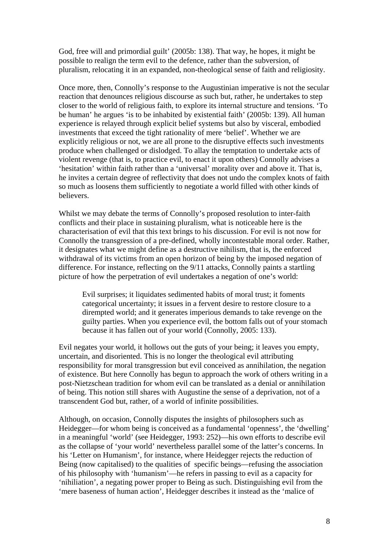God, free will and primordial guilt' (2005b: 138). That way, he hopes, it might be possible to realign the term evil to the defence, rather than the subversion, of pluralism, relocating it in an expanded, non-theological sense of faith and religiosity.

Once more, then, Connolly's response to the Augustinian imperative is not the secular reaction that denounces religious discourse as such but, rather, he undertakes to step closer to the world of religious faith, to explore its internal structure and tensions. 'To be human' he argues 'is to be inhabited by existential faith' (2005b: 139). All human experience is relayed through explicit belief systems but also by visceral, embodied investments that exceed the tight rationality of mere 'belief'. Whether we are explicitly religious or not, we are all prone to the disruptive effects such investments produce when challenged or dislodged. To allay the temptation to undertake acts of violent revenge (that is, to practice evil, to enact it upon others) Connolly advises a 'hesitation' within faith rather than a 'universal' morality over and above it. That is, he invites a certain degree of reflectivity that does not undo the complex knots of faith so much as loosens them sufficiently to negotiate a world filled with other kinds of believers.

Whilst we may debate the terms of Connolly's proposed resolution to inter-faith conflicts and their place in sustaining pluralism, what is noticeable here is the characterisation of evil that this text brings to his discussion. For evil is not now for Connolly the transgression of a pre-defined, wholly incontestable moral order. Rather, it designates what we might define as a destructive nihilism, that is, the enforced withdrawal of its victims from an open horizon of being by the imposed negation of difference. For instance, reflecting on the 9/11 attacks, Connolly paints a startling picture of how the perpetration of evil undertakes a negation of one's world:

Evil surprises; it liquidates sedimented habits of moral trust; it foments categorical uncertainty; it issues in a fervent desire to restore closure to a dirempted world; and it generates imperious demands to take revenge on the guilty parties. When you experience evil, the bottom falls out of your stomach because it has fallen out of your world (Connolly, 2005: 133).

Evil negates your world, it hollows out the guts of your being; it leaves you empty, uncertain, and disoriented. This is no longer the theological evil attributing responsibility for moral transgression but evil conceived as annihilation, the negation of existence. But here Connolly has begun to approach the work of others writing in a post-Nietzschean tradition for whom evil can be translated as a denial or annihilation of being. This notion still shares with Augustine the sense of a deprivation, not of a transcendent God but, rather, of a world of infinite possibilities.

Although, on occasion, Connolly disputes the insights of philosophers such as Heidegger—for whom being is conceived as a fundamental 'openness', the 'dwelling' in a meaningful 'world' (see Heidegger, 1993: 252)—his own efforts to describe evil as the collapse of 'your world' nevertheless parallel some of the latter's concerns. In his 'Letter on Humanism', for instance, where Heidegger rejects the reduction of Being (now capitalised) to the qualities of specific beings—refusing the association of his philosophy with 'humanism'—he refers in passing to evil as a capacity for 'nihiliation', a negating power proper to Being as such. Distinguishing evil from the 'mere baseness of human action', Heidegger describes it instead as the 'malice of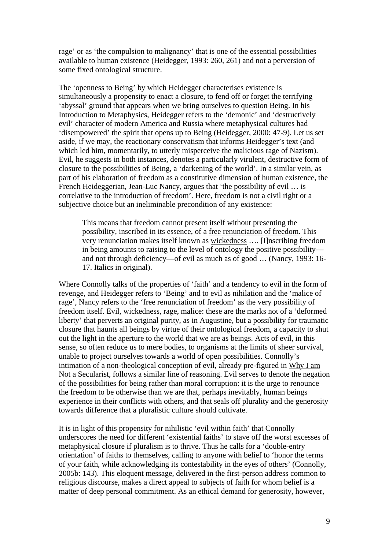rage' or as 'the compulsion to malignancy' that is one of the essential possibilities available to human existence (Heidegger, 1993: 260, 261) and not a perversion of some fixed ontological structure.

The 'openness to Being' by which Heidegger characterises existence is simultaneously a propensity to enact a closure, to fend off or forget the terrifying 'abyssal' ground that appears when we bring ourselves to question Being. In his Introduction to Metaphysics, Heidegger refers to the 'demonic' and 'destructively evil' character of modern America and Russia where metaphysical cultures had 'disempowered' the spirit that opens up to Being (Heidegger, 2000: 47-9). Let us set aside, if we may, the reactionary conservatism that informs Heidegger's text (and which led him, momentarily, to utterly misperceive the malicious rage of Nazism). Evil, he suggests in both instances, denotes a particularly virulent, destructive form of closure to the possibilities of Being, a 'darkening of the world'. In a similar vein, as part of his elaboration of freedom as a constitutive dimension of human existence, the French Heideggerian, Jean-Luc Nancy, argues that 'the possibility of evil … is correlative to the introduction of freedom'. Here, freedom is not a civil right or a subjective choice but an ineliminable precondition of any existence:

This means that freedom cannot present itself without presenting the possibility, inscribed in its essence, of a free renunciation of freedom. This very renunciation makes itself known as wickedness …. [I]nscribing freedom in being amounts to raising to the level of ontology the positive possibility and not through deficiency—of evil as much as of good … (Nancy, 1993: 16- 17. Italics in original).

Where Connolly talks of the properties of 'faith' and a tendency to evil in the form of revenge, and Heidegger refers to 'Being' and to evil as nihilation and the 'malice of rage', Nancy refers to the 'free renunciation of freedom' as the very possibility of freedom itself. Evil, wickedness, rage, malice: these are the marks not of a 'deformed liberty' that perverts an original purity, as in Augustine, but a possibility for traumatic closure that haunts all beings by virtue of their ontological freedom, a capacity to shut out the light in the aperture to the world that we are as beings. Acts of evil, in this sense, so often reduce us to mere bodies, to organisms at the limits of sheer survival, unable to project ourselves towards a world of open possibilities. Connolly's intimation of a non-theological conception of evil, already pre-figured in Why I am Not a Secularist, follows a similar line of reasoning. Evil serves to denote the negation of the possibilities for being rather than moral corruption: it is the urge to renounce the freedom to be otherwise than we are that, perhaps inevitably, human beings experience in their conflicts with others, and that seals off plurality and the generosity towards difference that a pluralistic culture should cultivate.

It is in light of this propensity for nihilistic 'evil within faith' that Connolly underscores the need for different 'existential faiths' to stave off the worst excesses of metaphysical closure if pluralism is to thrive. Thus he calls for a 'double-entry orientation' of faiths to themselves, calling to anyone with belief to 'honor the terms of your faith, while acknowledging its contestability in the eyes of others' (Connolly, 2005b: 143). This eloquent message, delivered in the first-person address common to religious discourse, makes a direct appeal to subjects of faith for whom belief is a matter of deep personal commitment. As an ethical demand for generosity, however,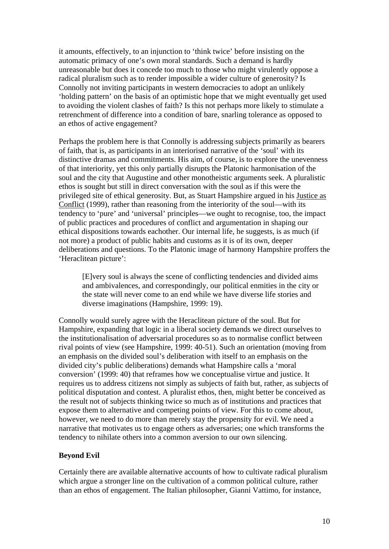it amounts, effectively, to an injunction to 'think twice' before insisting on the automatic primacy of one's own moral standards. Such a demand is hardly unreasonable but does it concede too much to those who might virulently oppose a radical pluralism such as to render impossible a wider culture of generosity? Is Connolly not inviting participants in western democracies to adopt an unlikely 'holding pattern' on the basis of an optimistic hope that we might eventually get used to avoiding the violent clashes of faith? Is this not perhaps more likely to stimulate a retrenchment of difference into a condition of bare, snarling tolerance as opposed to an ethos of active engagement?

Perhaps the problem here is that Connolly is addressing subjects primarily as bearers of faith, that is, as participants in an interiorised narrative of the 'soul' with its distinctive dramas and commitments. His aim, of course, is to explore the unevenness of that interiority, yet this only partially disrupts the Platonic harmonisation of the soul and the city that Augustine and other monotheistic arguments seek. A pluralistic ethos is sought but still in direct conversation with the soul as if this were the privileged site of ethical generosity. But, as Stuart Hampshire argued in his Justice as Conflict (1999), rather than reasoning from the interiority of the soul—with its tendency to 'pure' and 'universal' principles—we ought to recognise, too, the impact of public practices and procedures of conflict and argumentation in shaping our ethical dispositions towards eachother. Our internal life, he suggests, is as much (if not more) a product of public habits and customs as it is of its own, deeper deliberations and questions. To the Platonic image of harmony Hampshire proffers the 'Heraclitean picture':

[E]very soul is always the scene of conflicting tendencies and divided aims and ambivalences, and correspondingly, our political enmities in the city or the state will never come to an end while we have diverse life stories and diverse imaginations (Hampshire, 1999: 19).

Connolly would surely agree with the Heraclitean picture of the soul. But for Hampshire, expanding that logic in a liberal society demands we direct ourselves to the institutionalisation of adversarial procedures so as to normalise conflict between rival points of view (see Hampshire, 1999: 40-51). Such an orientation (moving from an emphasis on the divided soul's deliberation with itself to an emphasis on the divided city's public deliberations) demands what Hampshire calls a 'moral conversion' (1999: 40) that reframes how we conceptualise virtue and justice. It requires us to address citizens not simply as subjects of faith but, rather, as subjects of political disputation and contest. A pluralist ethos, then, might better be conceived as the result not of subjects thinking twice so much as of institutions and practices that expose them to alternative and competing points of view. For this to come about, however, we need to do more than merely stay the propensity for evil. We need a narrative that motivates us to engage others as adversaries; one which transforms the tendency to nihilate others into a common aversion to our own silencing.

### **Beyond Evil**

Certainly there are available alternative accounts of how to cultivate radical pluralism which argue a stronger line on the cultivation of a common political culture, rather than an ethos of engagement. The Italian philosopher, Gianni Vattimo, for instance,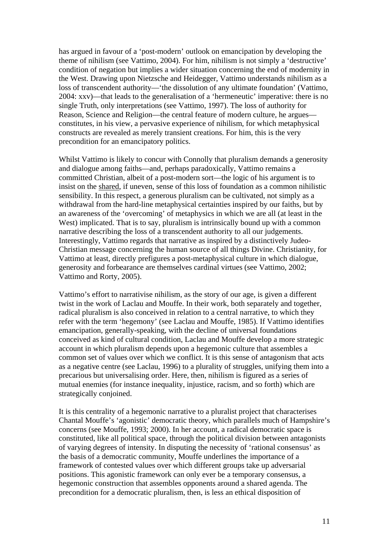has argued in favour of a 'post-modern' outlook on emancipation by developing the theme of nihilism (see Vattimo, 2004). For him, nihilism is not simply a 'destructive' condition of negation but implies a wider situation concerning the end of modernity in the West. Drawing upon Nietzsche and Heidegger, Vattimo understands nihilism as a loss of transcendent authority—'the dissolution of any ultimate foundation' (Vattimo, 2004: xxv)—that leads to the generalisation of a 'hermeneutic' imperative: there is no single Truth, only interpretations (see Vattimo, 1997). The loss of authority for Reason, Science and Religion—the central feature of modern culture, he argues constitutes, in his view, a pervasive experience of nihilism, for which metaphysical constructs are revealed as merely transient creations. For him, this is the very precondition for an emancipatory politics.

Whilst Vattimo is likely to concur with Connolly that pluralism demands a generosity and dialogue among faiths—and, perhaps paradoxically, Vattimo remains a committed Christian, albeit of a post-modern sort—the logic of his argument is to insist on the shared, if uneven, sense of this loss of foundation as a common nihilistic sensibility. In this respect, a generous pluralism can be cultivated, not simply as a withdrawal from the hard-line metaphysical certainties inspired by our faiths, but by an awareness of the 'overcoming' of metaphysics in which we are all (at least in the West) implicated. That is to say, pluralism is intrinsically bound up with a common narrative describing the loss of a transcendent authority to all our judgements. Interestingly, Vattimo regards that narrative as inspired by a distinctively Judeo-Christian message concerning the human source of all things Divine. Christianity, for Vattimo at least, directly prefigures a post-metaphysical culture in which dialogue, generosity and forbearance are themselves cardinal virtues (see Vattimo, 2002; Vattimo and Rorty, 2005).

Vattimo's effort to narrativise nihilism, as the story of our age, is given a different twist in the work of Laclau and Mouffe. In their work, both separately and together, radical pluralism is also conceived in relation to a central narrative, to which they refer with the term 'hegemony' (see Laclau and Mouffe, 1985). If Vattimo identifies emancipation, generally-speaking, with the decline of universal foundations conceived as kind of cultural condition, Laclau and Mouffe develop a more strategic account in which pluralism depends upon a hegemonic culture that assembles a common set of values over which we conflict. It is this sense of antagonism that acts as a negative centre (see Laclau, 1996) to a plurality of struggles, unifying them into a precarious but universalising order. Here, then, nihilism is figured as a series of mutual enemies (for instance inequality, injustice, racism, and so forth) which are strategically conjoined.

It is this centrality of a hegemonic narrative to a pluralist project that characterises Chantal Mouffe's 'agonistic' democratic theory, which parallels much of Hampshire's concerns (see Mouffe, 1993; 2000). In her account, a radical democratic space is constituted, like all political space, through the political division between antagonists of varying degrees of intensity. In disputing the necessity of 'rational consensus' as the basis of a democratic community, Mouffe underlines the importance of a framework of contested values over which different groups take up adversarial positions. This agonistic framework can only ever be a temporary consensus, a hegemonic construction that assembles opponents around a shared agenda. The precondition for a democratic pluralism, then, is less an ethical disposition of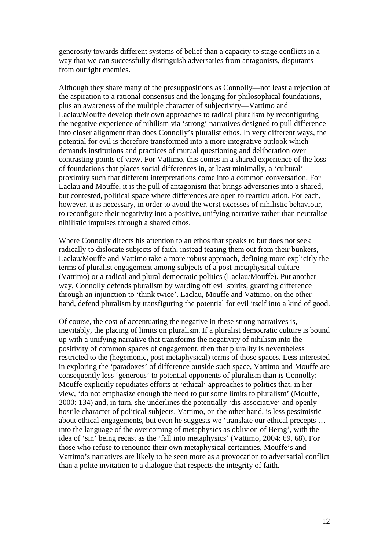generosity towards different systems of belief than a capacity to stage conflicts in a way that we can successfully distinguish adversaries from antagonists, disputants from outright enemies.

Although they share many of the presuppositions as Connolly—not least a rejection of the aspiration to a rational consensus and the longing for philosophical foundations, plus an awareness of the multiple character of subjectivity—Vattimo and Laclau/Mouffe develop their own approaches to radical pluralism by reconfiguring the negative experience of nihilism via 'strong' narratives designed to pull difference into closer alignment than does Connolly's pluralist ethos. In very different ways, the potential for evil is therefore transformed into a more integrative outlook which demands institutions and practices of mutual questioning and deliberation over contrasting points of view. For Vattimo, this comes in a shared experience of the loss of foundations that places social differences in, at least minimally, a 'cultural' proximity such that different interpretations come into a common conversation. For Laclau and Mouffe, it is the pull of antagonism that brings adversaries into a shared, but contested, political space where differences are open to rearticulation. For each, however, it is necessary, in order to avoid the worst excesses of nihilistic behaviour, to reconfigure their negativity into a positive, unifying narrative rather than neutralise nihilistic impulses through a shared ethos.

Where Connolly directs his attention to an ethos that speaks to but does not seek radically to dislocate subjects of faith, instead teasing them out from their bunkers, Laclau/Mouffe and Vattimo take a more robust approach, defining more explicitly the terms of pluralist engagement among subjects of a post-metaphysical culture (Vattimo) or a radical and plural democratic politics (Laclau/Mouffe). Put another way, Connolly defends pluralism by warding off evil spirits, guarding difference through an injunction to 'think twice'. Laclau, Mouffe and Vattimo, on the other hand, defend pluralism by transfiguring the potential for evil itself into a kind of good.

Of course, the cost of accentuating the negative in these strong narratives is, inevitably, the placing of limits on pluralism. If a pluralist democratic culture is bound up with a unifying narrative that transforms the negativity of nihilism into the positivity of common spaces of engagement, then that plurality is nevertheless restricted to the (hegemonic, post-metaphysical) terms of those spaces. Less interested in exploring the 'paradoxes' of difference outside such space, Vattimo and Mouffe are consequently less 'generous' to potential opponents of pluralism than is Connolly: Mouffe explicitly repudiates efforts at 'ethical' approaches to politics that, in her view, 'do not emphasize enough the need to put some limits to pluralism' (Mouffe, 2000: 134) and, in turn, she underlines the potentially 'dis-associative' and openly hostile character of political subjects. Vattimo, on the other hand, is less pessimistic about ethical engagements, but even he suggests we 'translate our ethical precepts … into the language of the overcoming of metaphysics as oblivion of Being', with the idea of 'sin' being recast as the 'fall into metaphysics' (Vattimo, 2004: 69, 68). For those who refuse to renounce their own metaphysical certainties, Mouffe's and Vattimo's narratives are likely to be seen more as a provocation to adversarial conflict than a polite invitation to a dialogue that respects the integrity of faith.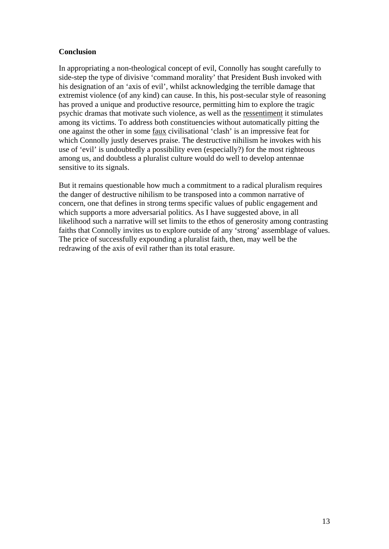### **Conclusion**

In appropriating a non-theological concept of evil, Connolly has sought carefully to side-step the type of divisive 'command morality' that President Bush invoked with his designation of an 'axis of evil', whilst acknowledging the terrible damage that extremist violence (of any kind) can cause. In this, his post-secular style of reasoning has proved a unique and productive resource, permitting him to explore the tragic psychic dramas that motivate such violence, as well as the ressentiment it stimulates among its victims. To address both constituencies without automatically pitting the one against the other in some faux civilisational 'clash' is an impressive feat for which Connolly justly deserves praise. The destructive nihilism he invokes with his use of 'evil' is undoubtedly a possibility even (especially?) for the most righteous among us, and doubtless a pluralist culture would do well to develop antennae sensitive to its signals.

But it remains questionable how much a commitment to a radical pluralism requires the danger of destructive nihilism to be transposed into a common narrative of concern, one that defines in strong terms specific values of public engagement and which supports a more adversarial politics. As I have suggested above, in all likelihood such a narrative will set limits to the ethos of generosity among contrasting faiths that Connolly invites us to explore outside of any 'strong' assemblage of values. The price of successfully expounding a pluralist faith, then, may well be the redrawing of the axis of evil rather than its total erasure.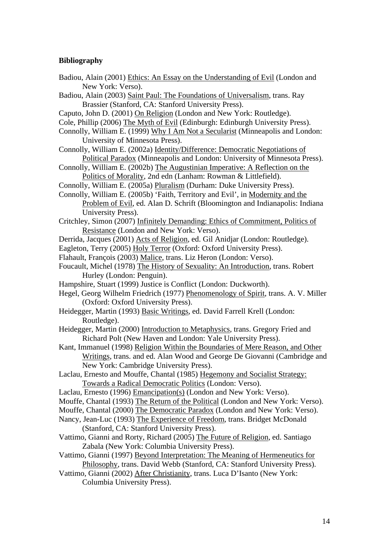# **Bibliography**

| Badiou, Alain (2001) Ethics: An Essay on the Understanding of Evil (London and     |
|------------------------------------------------------------------------------------|
| New York: Verso).                                                                  |
| Badiou, Alain (2003) Saint Paul: The Foundations of Universalism, trans. Ray       |
| Brassier (Stanford, CA: Stanford University Press).                                |
| Caputo, John D. (2001) On Religion (London and New York: Routledge).               |
| Cole, Phillip (2006) The Myth of Evil (Edinburgh: Edinburgh University Press).     |
| Connolly, William E. (1999) Why I Am Not a Secularist (Minneapolis and London:     |
| University of Minnesota Press).                                                    |
| Connolly, William E. (2002a) Identity/Difference: Democratic Negotiations of       |
| Political Paradox (Minneapolis and London: University of Minnesota Press).         |
| Connolly, William E. (2002b) The Augustinian Imperative: A Reflection on the       |
| Politics of Morality, 2nd edn (Lanham: Rowman & Littlefield).                      |
| Connolly, William E. (2005a) Pluralism (Durham: Duke University Press).            |
| Connolly, William E. (2005b) 'Faith, Territory and Evil', in Modernity and the     |
| Problem of Evil, ed. Alan D. Schrift (Bloomington and Indianapolis: Indiana        |
| University Press).                                                                 |
| Critchley, Simon (2007) Infinitely Demanding: Ethics of Commitment, Politics of    |
| Resistance (London and New York: Verso).                                           |
| Derrida, Jacques (2001) Acts of Religion, ed. Gil Anidjar (London: Routledge).     |
| Eagleton, Terry (2005) Holy Terror (Oxford: Oxford University Press).              |
| Flahault, François (2003) Malice, trans. Liz Heron (London: Verso).                |
| Foucault, Michel (1978) The History of Sexuality: An Introduction, trans. Robert   |
| Hurley (London: Penguin).                                                          |
| Hampshire, Stuart (1999) Justice is Conflict (London: Duckworth).                  |
| Hegel, Georg Wilhelm Friedrich (1977) Phenomenology of Spirit, trans. A. V. Miller |
| (Oxford: Oxford University Press).                                                 |
| Heidegger, Martin (1993) Basic Writings, ed. David Farrell Krell (London:          |
| Routledge).                                                                        |
| Heidegger, Martin (2000) Introduction to Metaphysics, trans. Gregory Fried and     |
| Richard Polt (New Haven and London: Yale University Press).                        |
| Kant, Immanuel (1998) Religion Within the Boundaries of Mere Reason, and Other     |
| Writings, trans. and ed. Alan Wood and George De Giovanni (Cambridge and           |
| New York: Cambridge University Press).                                             |
| Laclau, Ernesto and Mouffe, Chantal (1985) Hegemony and Socialist Strategy:        |
| Towards a Radical Democratic Politics (London: Verso).                             |
| Laclau, Ernesto (1996) Emancipation(s) (London and New York: Verso).               |
| Mouffe, Chantal (1993) The Return of the Political (London and New York: Verso).   |
| Mouffe, Chantal (2000) The Democratic Paradox (London and New York: Verso).        |
| Nancy, Jean-Luc (1993) The Experience of Freedom, trans. Bridget McDonald          |
| (Stanford, CA: Stanford University Press).                                         |
| Vattimo, Gianni and Rorty, Richard (2005) The Future of Religion, ed. Santiago     |
| Zabala (New York: Columbia University Press).                                      |
| Vattimo, Gianni (1997) Beyond Interpretation: The Meaning of Hermeneutics for      |
| Philosophy, trans. David Webb (Stanford, CA: Stanford University Press).           |
| Vattimo, Gianni (2002) After Christianity, trans. Luca D'Isanto (New York:         |
| Columbia University Press).                                                        |